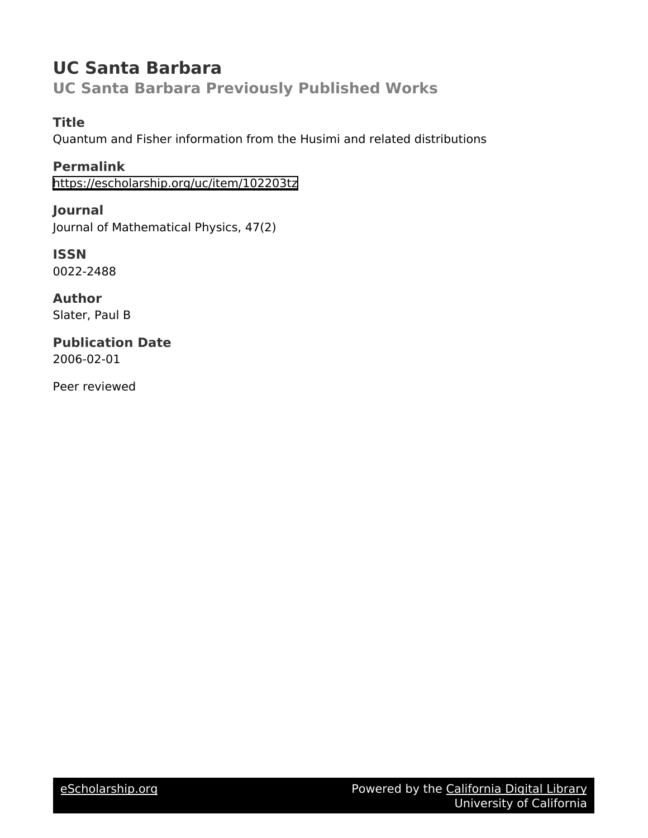# **UC Santa Barbara UC Santa Barbara Previously Published Works**

# **Title**

Quantum and Fisher information from the Husimi and related distributions

**Permalink** <https://escholarship.org/uc/item/102203tz>

**Journal** Journal of Mathematical Physics, 47(2)

**ISSN** 0022-2488

**Author** Slater, Paul B

**Publication Date** 2006-02-01

Peer reviewed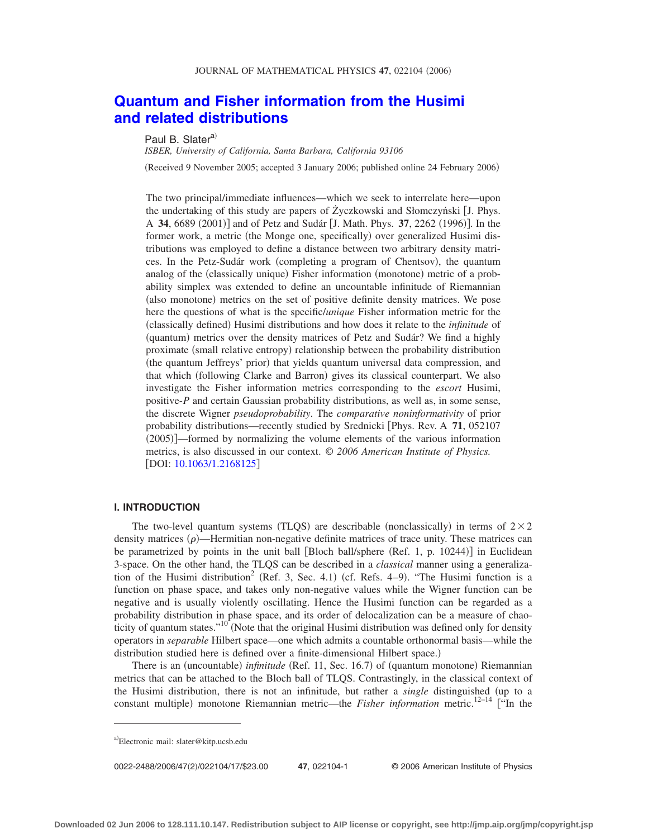# **[Quantum and Fisher information from the Husimi](http://dx.doi.org/10.1063/1.2168125) [and related distributions](http://dx.doi.org/10.1063/1.2168125)**

# Paul B. Slater<sup>a)</sup>

*ISBER, University of California, Santa Barbara, California 93106*

(Received 9 November 2005; accepted 3 January 2006; published online 24 February 2006)

The two principal/immediate influences—which we seek to interrelate here—upon the undertaking of this study are papers of Życzkowski and Słomczyński J. Phys. A 34, 6689 (2001)] and of Petz and Sudár [J. Math. Phys. 37, 2262 (1996)]. In the former work, a metric (the Monge one, specifically) over generalized Husimi distributions was employed to define a distance between two arbitrary density matrices. In the Petz-Sudár work (completing a program of Chentsov), the quantum analog of the (classically unique) Fisher information (monotone) metric of a probability simplex was extended to define an uncountable infinitude of Riemannian (also monotone) metrics on the set of positive definite density matrices. We pose here the questions of what is the specific/*unique* Fisher information metric for the (classically defined) Husimi distributions and how does it relate to the *infinitude* of (quantum) metrics over the density matrices of Petz and Sudár? We find a highly proximate (small relative entropy) relationship between the probability distribution (the quantum Jeffreys' prior) that yields quantum universal data compression, and that which (following Clarke and Barron) gives its classical counterpart. We also investigate the Fisher information metrics corresponding to the *escort* Husimi, positive-*P* and certain Gaussian probability distributions, as well as, in some sense, the discrete Wigner *pseudoprobability*. The *comparative noninformativity* of prior probability distributions—recently studied by Srednicki Phys. Rev. A **71**, 052107 (2005)]—formed by normalizing the volume elements of the various information metrics, is also discussed in our context. © *2006 American Institute of Physics.* [DOI: [10.1063/1.2168125](http://dx.doi.org/10.1063/1.2168125)]

### **I. INTRODUCTION**

The two-level quantum systems (TLQS) are describable (nonclassically) in terms of  $2 \times 2$ density matrices  $(\rho)$ —Hermitian non-negative definite matrices of trace unity. These matrices can be parametrized by points in the unit ball [Bloch ball/sphere (Ref. 1, p. 10244)] in Euclidean 3-space. On the other hand, the TLQS can be described in a *classical* manner using a generalization of the Husimi distribution<sup>2</sup> (Ref. 3, Sec. 4.1) (cf. Refs. 4–9). "The Husimi function is a function on phase space, and takes only non-negative values while the Wigner function can be negative and is usually violently oscillating. Hence the Husimi function can be regarded as a probability distribution in phase space, and its order of delocalization can be a measure of chaoticity of quantum states."<sup>10</sup> (Note that the original Husimi distribution was defined only for density operators in *separable* Hilbert space—one which admits a countable orthonormal basis—while the distribution studied here is defined over a finite-dimensional Hilbert space.)

There is an (uncountable) *infinitude* (Ref. 11, Sec. 16.7) of (quantum monotone) Riemannian metrics that can be attached to the Bloch ball of TLQS. Contrastingly, in the classical context of the Husimi distribution, there is not an infinitude, but rather a *single* distinguished up to a constant multiple) monotone Riemannian metric—the *Fisher information* metric.<sup>12–14</sup> ["In the

0022-2488/2006/47(2)/022104/17/\$23.00

47, 022104-1 © 2006 American Institute of Physics

a)Electronic mail: slater@kitp.ucsb.edu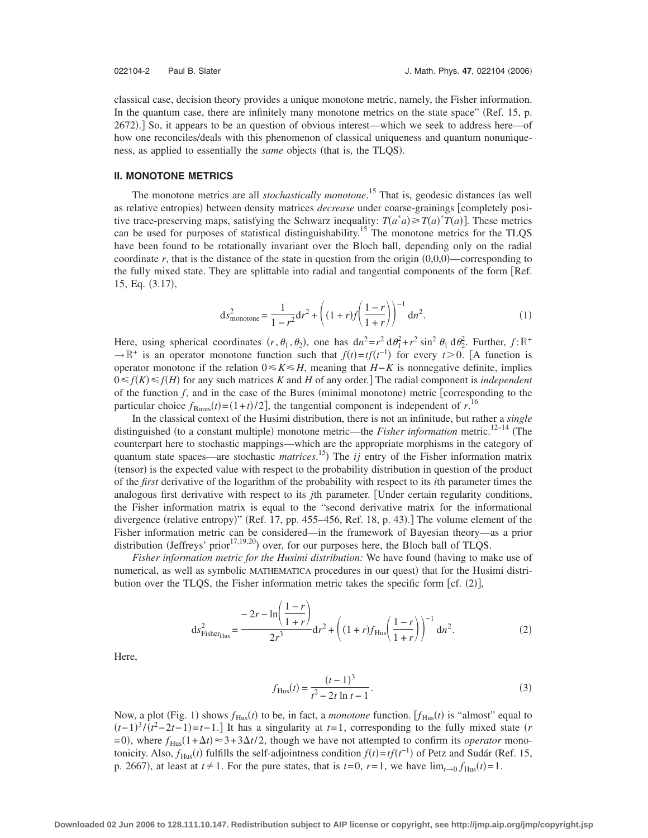classical case, decision theory provides a unique monotone metric, namely, the Fisher information. In the quantum case, there are infinitely many monotone metrics on the state space" (Ref. 15, p. 2672).] So, it appears to be an question of obvious interest—which we seek to address here—of how one reconciles/deals with this phenomenon of classical uniqueness and quantum nonuniqueness, as applied to essentially the *same* objects (that is, the TLQS).

# **II. MONOTONE METRICS**

The monotone metrics are all *stochastically monotone*.<sup>15</sup> That is, geodesic distances (as well as relative entropies) between density matrices *decrease* under coarse-grainings [completely positive trace-preserving maps, satisfying the Schwarz inequality:  $T(a^*a) \ge T(a)^*T(a)$ . These metrics can be used for purposes of statistical distinguishability.<sup>15</sup> The monotone metrics for the TLQS have been found to be rotationally invariant over the Bloch ball, depending only on the radial coordinate  $r$ , that is the distance of the state in question from the origin  $(0,0,0)$ —corresponding to the fully mixed state. They are splittable into radial and tangential components of the form [Ref. 15, Eq. (3.17),

$$
ds_{\text{monotone}}^2 = \frac{1}{1 - r^2} dr^2 + \left( (1 + r) f \left( \frac{1 - r}{1 + r} \right) \right)^{-1} dr^2.
$$
 (1)

Here, using spherical coordinates  $(r, \theta_1, \theta_2)$ , one has  $dn^2 = r^2 d\theta_1 + r^2 \sin^2 \theta_1 d\theta_2^2$ . Further,  $f: \mathbb{R}^+$  $\rightarrow$  R<sup>+</sup> is an operator monotone function such that  $f(t) = tf(t^{-1})$  for every  $t > 0$ . [A function is operator monotone if the relation  $0 \le K \le H$ , meaning that *H*−*K* is nonnegative definite, implies  $0 \le f(K) \le f(H)$  for any such matrices *K* and *H* of any order.] The radial component is *independent* of the function  $f$ , and in the case of the Bures (minimal monotone) metric [corresponding to the particular choice  $f_{\text{Bures}}(t) = (1+t)/2$ , the tangential component is independent of  $r$ .<sup>16</sup>

In the classical context of the Husimi distribution, there is not an infinitude, but rather a *single* distinguished (to a constant multiple) monotone metric—the *Fisher information* metric.<sup>12–14</sup> (The counterpart here to stochastic mappings—which are the appropriate morphisms in the category of quantum state spaces—are stochastic *matrices*.<sup>15</sup>) The *ij* entry of the Fisher information matrix (tensor) is the expected value with respect to the probability distribution in question of the product of the *first* derivative of the logarithm of the probability with respect to its *i*th parameter times the analogous first derivative with respect to its *j*th parameter. Under certain regularity conditions, the Fisher information matrix is equal to the "second derivative matrix for the informational divergence (relative entropy)" (Ref. 17, pp. 455–456, Ref. 18, p. 43).] The volume element of the Fisher information metric can be considered—in the framework of Bayesian theory—as a prior distribution (Jeffreys' prior<sup>17,19,20</sup>) over, for our purposes here, the Bloch ball of TLQS.

*Fisher information metric for the Husimi distribution:* We have found (having to make use of numerical, as well as symbolic MATHEMATICA procedures in our quest) that for the Husimi distribution over the TLQS, the Fisher information metric takes the specific form  $[cf. (2)]$ ,

$$
ds_{Fisher_{Hus}}^2 = \frac{-2r - \ln\left(\frac{1-r}{1+r}\right)}{2r^3} dr^2 + \left((1+r)f_{Hus}\left(\frac{1-r}{1+r}\right)\right)^{-1} dn^2.
$$
 (2)

Here,

$$
f_{\text{Hus}}(t) = \frac{(t-1)^3}{t^2 - 2t \ln t - 1}.
$$
 (3)

Now, a plot (Fig. 1) shows  $f_{Hus}(t)$  to be, in fact, a *monotone* function. [ $f_{Hus}(t)$  is "almost" equal to  $(t-1)^3/(t^2-2t-1)=t-1$ . It has a singularity at  $t=1$ , corresponding to the fully mixed state (*r*  $= 0$ ), where  $f_{Hus}(1 + \Delta t) \approx 3 + 3\Delta t/2$ , though we have not attempted to confirm its *operator* monotonicity. Also,  $f_{Hus}(t)$  fulfills the self-adjointness condition  $f(t) = tf(t^{-1})$  of Petz and Sudár (Ref. 15, p. 2667), at least at  $t \neq 1$ . For the pure states, that is  $t=0$ ,  $r=1$ , we have  $\lim_{t\to 0} f_{\text{Hus}}(t)=1$ .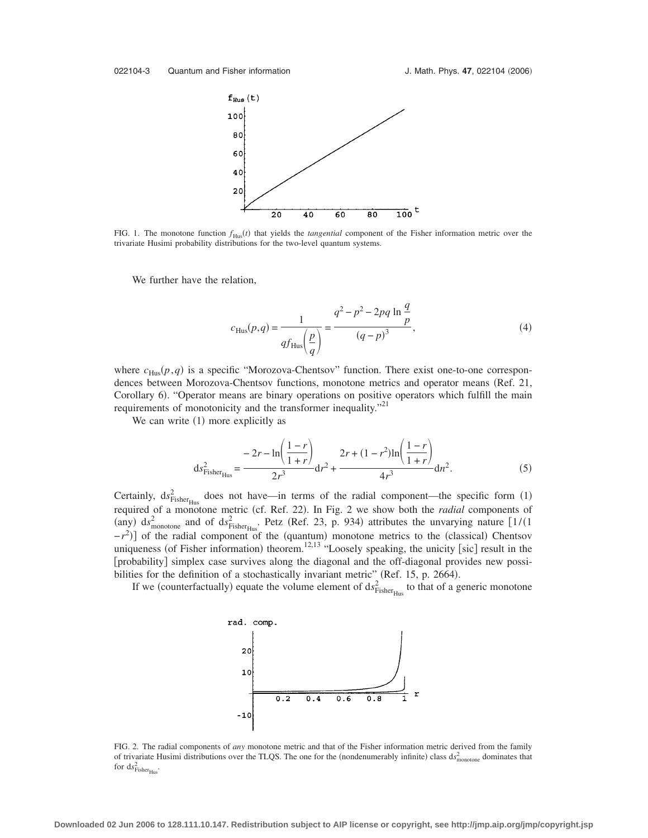

FIG. 1. The monotone function  $f_{Hus}(t)$  that yields the *tangential* component of the Fisher information metric over the trivariate Husimi probability distributions for the two-level quantum systems.

We further have the relation,

$$
c_{\text{Hus}}(p,q) = \frac{1}{qf_{\text{Hus}}\left(\frac{p}{q}\right)} = \frac{q^2 - p^2 - 2pq \ln \frac{q}{p}}{(q-p)^3},\tag{4}
$$

where  $c_{\text{Hus}}(p,q)$  is a specific "Morozova-Chentsov" function. There exist one-to-one correspondences between Morozova-Chentsov functions, monotone metrics and operator means (Ref. 21, Corollary 6). "Operator means are binary operations on positive operators which fulfill the main requirements of monotonicity and the transformer inequality."<sup>21</sup>

We can write  $(1)$  more explicitly as

$$
ds_{Fisher_{Hus}}^2 = \frac{-2r - \ln\left(\frac{1-r}{1+r}\right)}{2r^3}dr^2 + \frac{2r + (1-r^2)\ln\left(\frac{1-r}{1+r}\right)}{4r^3}dr^2.
$$
 (5)

Certainly,  $ds_{Fisher_{Hus}}^2$  does not have—in terms of the radial component—the specific form (1) required of a monotone metric (cf. Ref. 22). In Fig. 2 we show both the *radial* components of (any)  $ds_{\text{monotone}}^2$  and of  $ds_{\text{Fisher}_{\text{Hus}}}^2$ . Petz (Ref. 23, p. 934) attributes the unvarying nature  $[1/(1$  $-r^2$ ) of the radial component of the (quantum) monotone metrics to the (classical) Chentsov uniqueness (of Fisher information) theorem.<sup>12,13</sup> "Loosely speaking, the unicity [sic] result in the [probability] simplex case survives along the diagonal and the off-diagonal provides new possibilities for the definition of a stochastically invariant metric" (Ref. 15, p. 2664).

If we (counterfactually) equate the volume element of  $ds^2_{\text{Fisher}_{\text{Hus}}}$  to that of a generic monotone



FIG. 2. The radial components of *any* monotone metric and that of the Fisher information metric derived from the family of trivariate Husimi distributions over the TLQS. The one for the (nondenumerably infinite) class  $ds_{\text{monotone}}^2$  dominates that for  $ds^2_{\text{Fisher}_{\text{Hus}}}.$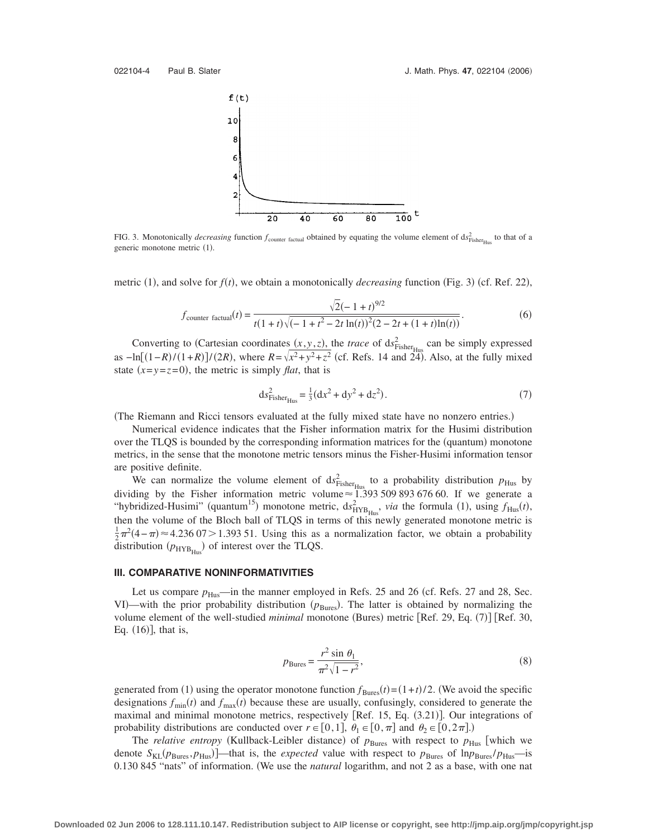

FIG. 3. Monotonically *decreasing* function  $f_{\text{counter factual}}$  obtained by equating the volume element of  $ds_{\text{Fisher}_{\text{Hus}}}^2$  to that of a generic monotone metric (1).

metric (1), and solve for  $f(t)$ , we obtain a monotonically *decreasing* function (Fig. 3) (cf. Ref. 22),

$$
f_{\text{counter factual}}(t) = \frac{\sqrt{2}(-1+t)^{9/2}}{t(1+t)\sqrt{(-1+t^2-2t\ln(t))^2(2-2t+(1+t)\ln(t))}}.
$$
(6)

Converting to (Cartesian coordinates  $(x, y, z)$ , the *trace* of ds<sup>2</sup><sub>Fisher<sub>Hus</sub></sub> can be simply expressed as  $-\ln[(1-R)/(1+R)]/(2R)$ , where  $R = \sqrt{x^2 + y^2 + z^2}$  (cf. Refs. 14 and 24). Also, at the fully mixed state  $(x=y=z=0)$ , the metric is simply *flat*, that is

$$
ds_{\text{Fisher}_{\text{Hus}}}^2 = \frac{1}{3}(dx^2 + dy^2 + dz^2). \tag{7}
$$

(The Riemann and Ricci tensors evaluated at the fully mixed state have no nonzero entries.)

Numerical evidence indicates that the Fisher information matrix for the Husimi distribution over the TLQS is bounded by the corresponding information matrices for the (quantum) monotone metrics, in the sense that the monotone metric tensors minus the Fisher-Husimi information tensor are positive definite.

We can normalize the volume element of  $ds_{Fisher_{Hus}}^2$  to a probability distribution  $p_{Hus}$  by dividing by the Fisher information metric volume  $\approx 1.393 509 893 676 60$ . If we generate a "hybridized-Husimi" (quantum<sup>15</sup>) monotone metric,  $ds_{HVB_{Hus}}^2$ , *via* the formula (1), using  $f_{Hus}(t)$ , then the volume of the Bloch ball of TLQS in terms of this newly generated monotone metric is  $\frac{1}{2}\pi^2(4-\pi) \approx 4.236\,07 > 1.393\,51$ . Using this as a normalization factor, we obtain a probability distribution  $(p_{HYB_{Hus}})$  of interest over the TLQS.

#### **III. COMPARATIVE NONINFORMATIVITIES**

Let us compare  $p_{\text{Hus}}$ —in the manner employed in Refs. 25 and 26 (cf. Refs. 27 and 28, Sec. VI)—with the prior probability distribution ( $p_{\text{Bures}}$ ). The latter is obtained by normalizing the volume element of the well-studied *minimal* monotone (Bures) metric [Ref. 29, Eq. (7)] [Ref. 30, Eq.  $(16)$ ], that is,

$$
p_{\text{Bures}} = \frac{r^2 \sin \theta_1}{\pi^2 \sqrt{1 - r^2}},\tag{8}
$$

generated from (1) using the operator monotone function  $f_{\text{Bures}}(t) = (1 + t)/2$ . (We avoid the specific designations  $f_{\text{min}}(t)$  and  $f_{\text{max}}(t)$  because these are usually, confusingly, considered to generate the maximal and minimal monotone metrics, respectively [Ref. 15, Eq. (3.21)]. Our integrations of probability distributions are conducted over  $r \in [0,1]$ ,  $\theta_1 \in [0,\pi]$  and  $\theta_2 \in [0,2\pi]$ .)

The *relative entropy* (Kullback-Leibler distance) of  $p_{\text{Bures}}$  with respect to  $p_{\text{Hus}}$  [which we denote  $S_{KL}(p_{Bures}, p_{Hus})$  —that is, the *expected* value with respect to  $p_{Bures}$  of  $ln p_{Bures}/p_{Hus}$ —is 0.130 845 "nats" of information. We use the *natural* logarithm, and not 2 as a base, with one nat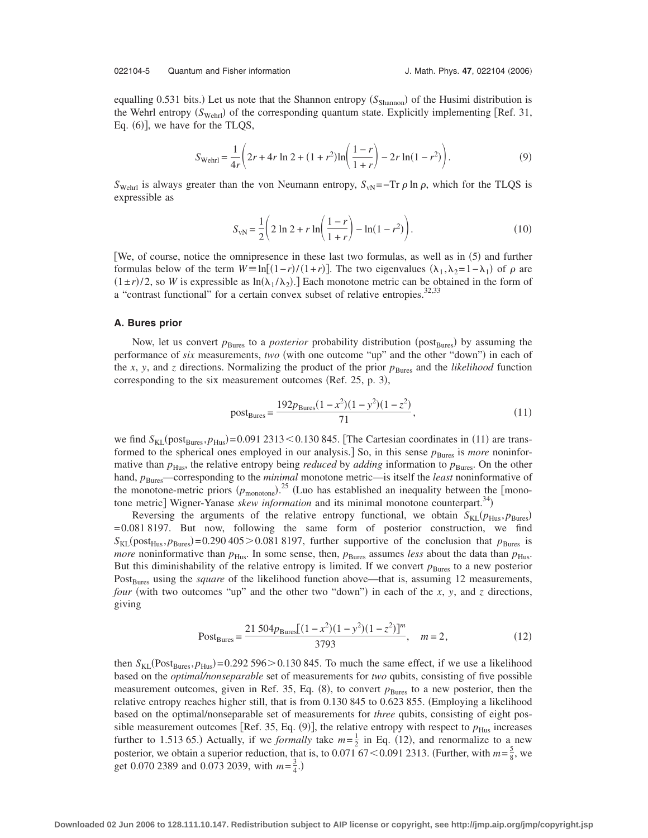#### 022104-5 Quantum and Fisher information **J. Math. Phys. 47, 022104 (2006)**

equalling 0.531 bits.) Let us note that the Shannon entropy (S<sub>Shannon</sub>) of the Husimi distribution is the Wehrl entropy (S<sub>Wehrl</sub>) of the corresponding quantum state. Explicitly implementing [Ref. 31, Eq.  $(6)$ ], we have for the TLQS,

$$
S_{\text{Wehrl}} = \frac{1}{4r} \left( 2r + 4r \ln 2 + (1+r^2) \ln \left( \frac{1-r}{1+r} \right) - 2r \ln(1-r^2) \right). \tag{9}
$$

*S*<sub>Wehrl</sub> is always greater than the von Neumann entropy,  $S_{vN}$ =–Tr  $\rho$  ln  $\rho$ , which for the TLQS is expressible as

$$
S_{\rm vN} = \frac{1}{2} \left( 2 \ln 2 + r \ln \left( \frac{1-r}{1+r} \right) - \ln(1-r^2) \right). \tag{10}
$$

[We, of course, notice the omnipresence in these last two formulas, as well as in (5) and further formulas below of the term  $W = \ln[(1-r)/(1+r)]$ . The two eigenvalues  $(\lambda_1, \lambda_2 = 1 - \lambda_1)$  of  $\rho$  are  $(1 \pm r)/2$ , so *W* is expressible as  $\ln(\lambda_1/\lambda_2)$ . Each monotone metric can be obtained in the form of a "contrast functional" for a certain convex subset of relative entropies.<sup>32,33</sup>

#### **A. Bures prior**

Now, let us convert  $p_{\text{Bures}}$  to a *posterior* probability distribution (post<sub>Bures</sub>) by assuming the performance of *six* measurements, *two* (with one outcome "up" and the other "down") in each of the *x*, *y*, and *z* directions. Normalizing the product of the prior  $p_{\text{Bures}}$  and the *likelihood* function corresponding to the six measurement outcomes (Ref.  $25$ , p. 3),

$$
postBures = \frac{192pBures(1 - x2)(1 - y2)(1 - z2)}{71},
$$
\n(11)

we find  $S_{\text{KL}}(\text{post}_{\text{Bures}}, p_{\text{Hus}}) = 0.0912313 \le 0.130845$ . [The Cartesian coordinates in (11) are transformed to the spherical ones employed in our analysis.] So, in this sense  $p_{\text{Bures}}$  is *more* noninformative than  $p_{\text{Hus}}$ , the relative entropy being *reduced* by *adding* information to  $p_{\text{Bures}}$ . On the other hand,  $p_{\text{Bures}}$ —corresponding to the *minimal* monotone metric—is itself the *least* noninformative of the monotone-metric priors  $(p_{\text{monotone}})$ .<sup>25</sup> (Luo has established an inequality between the [monotone metric] Wigner-Yanase *skew information* and its minimal monotone counterpart.<sup>34</sup>)

Reversing the arguments of the relative entropy functional, we obtain  $S_{KL}(p_{Hus}, p_{Bures})$ = 0.081 8197. But now, following the same form of posterior construction, we find  $S_{\text{KL}}(\text{post}_{\text{Hus}}, p_{\text{Bures}}) = 0.290\,405 > 0.081\,8197$ , further supportive of the conclusion that  $p_{\text{Bures}}$  is *more* noninformative than  $p_{Hus}$ . In some sense, then,  $p_{Bures}$  assumes *less* about the data than  $p_{Hus}$ . But this diminishability of the relative entropy is limited. If we convert  $p_{\text{Bures}}$  to a new posterior Post<sub>Bures</sub> using the *square* of the likelihood function above—that is, assuming 12 measurements, *four* (with two outcomes "up" and the other two "down") in each of the  $x$ ,  $y$ , and  $z$  directions, giving

$$
PostBures = \frac{21\,504pBures[(1 - x2)(1 - y2)(1 - z2)]m}{3793}, \quad m = 2,
$$
 (12)

then  $S_{KL}(Post_{Bures}, p_{Hus}) = 0.292596 > 0.130845$ . To much the same effect, if we use a likelihood based on the *optimal/nonseparable* set of measurements for *two* qubits, consisting of five possible measurement outcomes, given in Ref. 35, Eq. (8), to convert  $p_{\text{Bures}}$  to a new posterior, then the relative entropy reaches higher still, that is from 0.130 845 to 0.623 855. Employing a likelihood based on the optimal/nonseparable set of measurements for *three* qubits, consisting of eight possible measurement outcomes [Ref. 35, Eq.  $(9)$ ], the relative entropy with respect to  $p_{\text{Hus}}$  increases further to 1.513 65.) Actually, if we *formally* take  $m=\frac{1}{2}$  in Eq. (12), and renormalize to a new posterior, we obtain a superior reduction, that is, to  $0.071\overline{67} < 0.091\overline{2313}$ . (Further, with  $m = \frac{5}{8}$ , we get 0.070 2389 and 0.073 2039, with  $m = \frac{3}{4}$ .)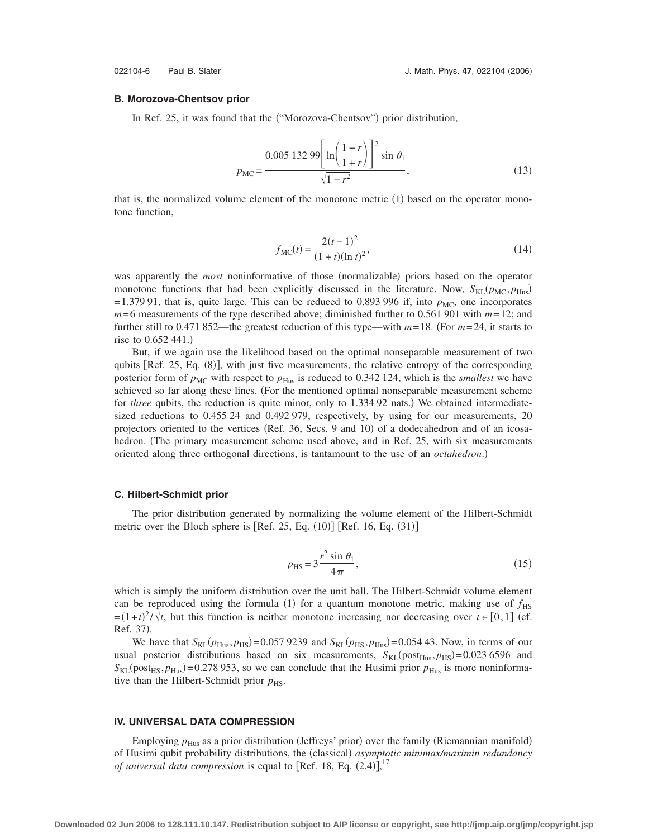#### **B. Morozova-Chentsov prior**

In Ref. 25, it was found that the ("Morozova-Chentsov") prior distribution,

$$
p_{\rm MC} = \frac{0.005\ 132\ 99 \left[ \ln \left( \frac{1-r}{1+r} \right) \right]^2 \sin\,\theta_1}{\sqrt{1-r^2}},\tag{13}
$$

that is, the normalized volume element of the monotone metric  $(1)$  based on the operator monotone function,

$$
f_{\rm MC}(t) = \frac{2(t-1)^2}{(1+t)(\ln t)^2},\tag{14}
$$

was apparently the *most* noninformative of those (normalizable) priors based on the operator monotone functions that had been explicitly discussed in the literature. Now,  $S_{KL}(p_{MC}, p_{Hus})$  $= 1.379$  91, that is, quite large. This can be reduced to 0.893 996 if, into  $p_{MC}$ , one incorporates *m*= 6 measurements of the type described above; diminished further to 0.561 901 with *m*= 12; and further still to 0.471 852—the greatest reduction of this type—with  $m=18$ . (For  $m=24$ , it starts to rise to 0.652 441.)

But, if we again use the likelihood based on the optimal nonseparable measurement of two qubits [Ref. 25, Eq. (8)], with just five measurements, the relative entropy of the corresponding posterior form of  $p_{MC}$  with respect to  $p_{Hus}$  is reduced to 0.342 124, which is the *smallest* we have achieved so far along these lines. For the mentioned optimal nonseparable measurement scheme for *three* qubits, the reduction is quite minor, only to 1.334 92 nats.) We obtained intermediatesized reductions to 0.455 24 and 0.492 979, respectively, by using for our measurements, 20 projectors oriented to the vertices (Ref. 36, Secs. 9 and 10) of a dodecahedron and of an icosahedron. The primary measurement scheme used above, and in Ref. 25, with six measurements oriented along three orthogonal directions, is tantamount to the use of an *octahedron*.)

#### **C. Hilbert-Schmidt prior**

The prior distribution generated by normalizing the volume element of the Hilbert-Schmidt metric over the Bloch sphere is  $[Ref. 25, Eq. (10)] [Ref. 16, Eq. (31)]$ 

$$
p_{\rm HS} = 3 \frac{r^2 \sin \theta_1}{4\pi},\tag{15}
$$

which is simply the uniform distribution over the unit ball. The Hilbert-Schmidt volume element can be reproduced using the formula (1) for a quantum monotone metric, making use of  $f_{\text{HS}}$  $= (1+t)^2/\sqrt{t}$ , but this function is neither monotone increasing nor decreasing over  $t \in [0,1]$  (cf. Ref. 37).

We have that  $S_{KL}(p_{Hus}, p_{HS}) = 0.0579239$  and  $S_{KL}(p_{HS}, p_{Hus}) = 0.05443$ . Now, in terms of our usual posterior distributions based on six measurements,  $S_{KL}(post_{Hus}, p_{HS}) = 0.023\,6596$  and  $S_{\text{KL}}(\text{post}_{\text{HS}}, p_{\text{Hus}}) = 0.278953$ , so we can conclude that the Husimi prior  $p_{\text{Hus}}$  is more noninformative than the Hilbert-Schmidt prior  $p_{\text{HS}}$ .

# **IV. UNIVERSAL DATA COMPRESSION**

Employing  $p_{\text{Hus}}$  as a prior distribution (Jeffreys' prior) over the family (Riemannian manifold) of Husimi qubit probability distributions, the (classical) asymptotic minimax/maximin redundancy *of universal data compression* is equal to [Ref. 18, Eq.  $(2.4)$ ],<sup>17</sup>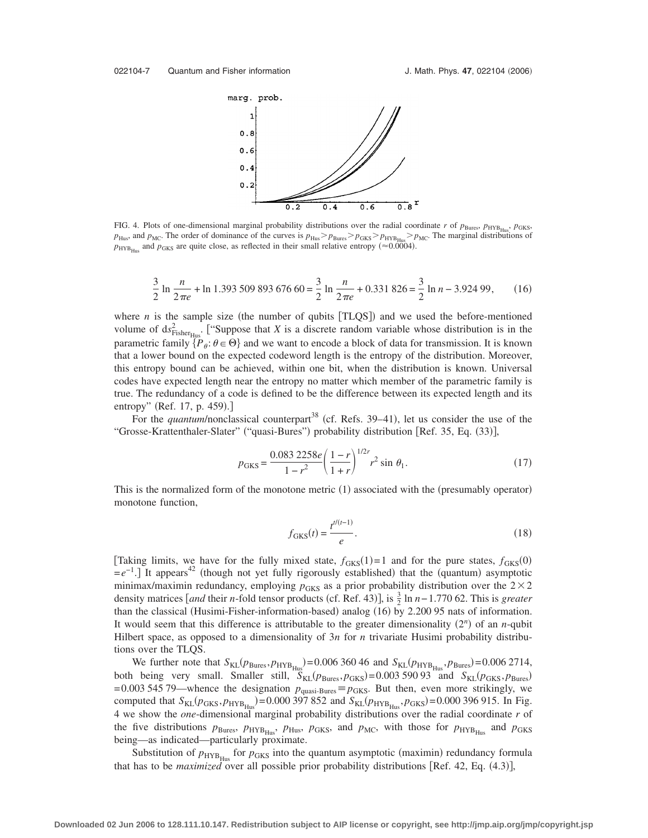

FIG. 4. Plots of one-dimensional marginal probability distributions over the radial coordinate *r* of  $p_{\text{Bures}}$ ,  $p_{\text{HYB}_{\text{Hus}}}$ ,  $p_{\text{GKS}}$ ,  $p_{\text{Hus}}$ , and  $p_{\text{MC}}$ . The order of dominance of the curves is  $p_{\text{Hus}} > p_{\text{Bures}} > p_{\text{GKS}} > p_{\text{HYB}_{\text{Hus}}} > p_{\text{MC}}$ . The marginal distributions of  $p_{\text{HYB}_{\text{Hus}}}$  and  $p_{\text{GKS}}$  are quite close, as reflected in their small relative entropy ( $\approx 0.0004$ ).

$$
\frac{3}{2}\ln\frac{n}{2\pi e} + \ln 1.393\ 509\ 893\ 676\ 60 = \frac{3}{2}\ln\frac{n}{2\pi e} + 0.331\ 826 = \frac{3}{2}\ln n - 3.924\ 99,\tag{16}
$$

where  $n$  is the sample size (the number of qubits  $[TLQS]$ ) and we used the before-mentioned volume of  $ds_{\text{Fisher}_{\text{Hus}}}^2$ . ["Suppose that *X* is a discrete random variable whose distribution is in the parametric family  $\{P_\theta: \theta \in \Theta\}$  and we want to encode a block of data for transmission. It is known that a lower bound on the expected codeword length is the entropy of the distribution. Moreover, this entropy bound can be achieved, within one bit, when the distribution is known. Universal codes have expected length near the entropy no matter which member of the parametric family is true. The redundancy of a code is defined to be the difference between its expected length and its entropy" (Ref. 17, p. 459).]

For the *quantum*/nonclassical counterpart<sup>38</sup> (cf. Refs. 39–41), let us consider the use of the "Grosse-Krattenthaler-Slater" ("quasi-Bures") probability distribution [Ref. 35, Eq. (33)],

$$
p_{GKS} = \frac{0.083 \, 2258e}{1 - r^2} \left(\frac{1 - r}{1 + r}\right)^{1/2r} r^2 \sin \theta_1. \tag{17}
$$

This is the normalized form of the monotone metric (1) associated with the (presumably operator) monotone function,

$$
f_{GKS}(t) = \frac{t^{t/(t-1)}}{e}.
$$
 (18)

[Taking limits, we have for the fully mixed state,  $f_{GKS}(1)=1$  and for the pure states,  $f_{GKS}(0)$  $=e^{-1}$ . It appears<sup>42</sup> (though not yet fully rigorously established) that the (quantum) asymptotic minimax/maximin redundancy, employing  $p_{GKS}$  as a prior probability distribution over the  $2 \times 2$ density matrices [*and* their *n*-fold tensor products (cf. Ref. 43)], is  $\frac{3}{2}$  ln *n*−1.770 62. This is *greater* than the classical (Husimi-Fisher-information-based) analog (16) by 2.200 95 nats of information. It would seem that this difference is attributable to the greater dimensionality  $(2^n)$  of an *n*-qubit Hilbert space, as opposed to a dimensionality of 3*n* for *n* trivariate Husimi probability distributions over the TLQS.

We further note that  $S_{KL}(p_{\text{Bures}}, p_{\text{HYB}_{\text{Hus}}}) = 0.00636646$  and  $S_{KL}(p_{\text{HYB}_{\text{Hus}}}, p_{\text{Bures}}) = 0.0062714$ , both being very small. Smaller still,  $S_{KL}(p_{Bures}, p_{GKS}) = 0.00359093$  and  $S_{KL}(p_{GKS}, p_{Bures})$ = 0.003 545 79—whence the designation  $p_{\text{quasi-Bures}} = p_{\text{GKS}}$ . But then, even more strikingly, we computed that  $S_{KL}(p_{GKS}, p_{HYB_{Hus}})$  = 0.000 397 852 and  $S_{KL}(p_{HYB_{Hus}}, p_{GKS})$  = 0.000 396 915. In Fig. 4 we show the *one*-dimensional marginal probability distributions over the radial coordinate *r* of the five distributions  $p_{\text{Bures}}$ ,  $p_{\text{HYB}_{\text{Hus}}}$ ,  $p_{\text{Hus}}$ ,  $p_{\text{GKS}}$ , and  $p_{\text{MC}}$ , with those for  $p_{\text{HYB}_{\text{Hus}}}$  and  $p_{\text{GKS}}$ being—as indicated—particularly proximate.

Substitution of  $p_{\text{HYB}_{\text{Hus}}}$  for  $p_{\text{GKS}}$  into the quantum asymptotic (maximin) redundancy formula that has to be *maximized* over all possible prior probability distributions [Ref. 42, Eq. (4.3)],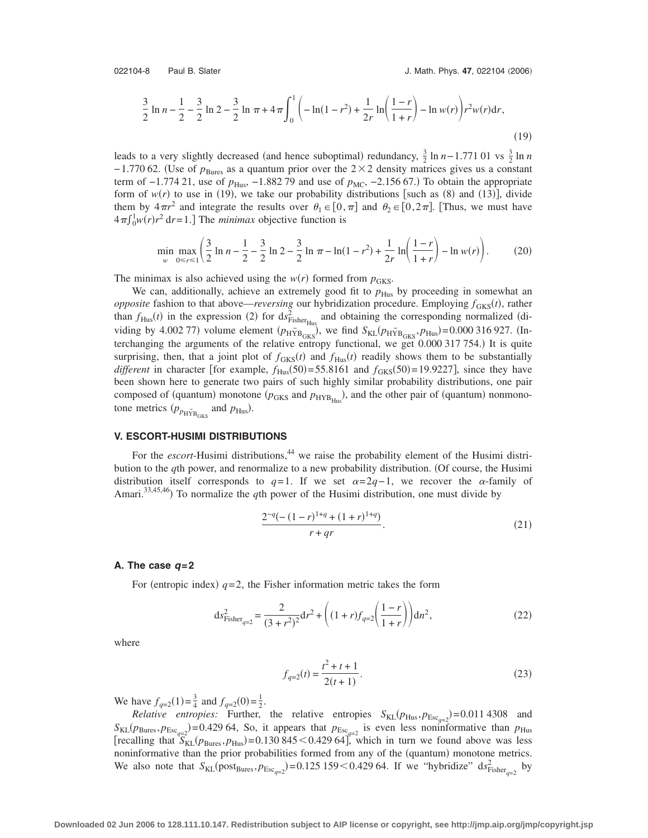$$
\frac{3}{2}\ln n - \frac{1}{2} - \frac{3}{2}\ln 2 - \frac{3}{2}\ln \pi + 4\pi \int_0^1 \left(-\ln(1 - r^2) + \frac{1}{2r}\ln\left(\frac{1 - r}{1 + r}\right) - \ln w(r)\right) r^2 w(r) dr,\tag{19}
$$

leads to a very slightly decreased (and hence suboptimal) redundancy,  $\frac{3}{2} \ln n - 1.771$  01 vs  $\frac{3}{2} \ln n$ −1.770 62. (Use of  $p_{\text{Bures}}$  as a quantum prior over the 2×2 density matrices gives us a constant term of  $-1.77421$ , use of  $p_{\text{Hus}}$ ,  $-1.88279$  and use of  $p_{\text{MC}}$ ,  $-2.15667$ .) To obtain the appropriate form of  $w(r)$  to use in (19), we take our probability distributions [such as (8) and (13)], divide them by  $4\pi r^2$  and integrate the results over  $\theta_1 \in [0, \pi]$  and  $\theta_2 \in [0, 2\pi]$ . [Thus, we must have  $4\pi \int_0^1 w(r)r^2 dr = 1$ .] The *minimax* objective function is

$$
\min_{w} \max_{0 \le r \le 1} \left( \frac{3}{2} \ln n - \frac{1}{2} - \frac{3}{2} \ln 2 - \frac{3}{2} \ln \pi - \ln(1 - r^2) + \frac{1}{2r} \ln \left( \frac{1 - r}{1 + r} \right) - \ln w(r) \right).
$$
 (20)

The minimax is also achieved using the  $w(r)$  formed from  $p_{GKS}$ .

We can, additionally, achieve an extremely good fit to  $p_{\text{Hus}}$  by proceeding in somewhat an *opposite* fashion to that above—*reversing* our hybridization procedure. Employing  $f_{GKS}(t)$ , rather than  $f_{Hus}(t)$  in the expression (2) for  $ds_{Fisher_{Hus}}^2$  and obtaining the corresponding normalized (dividing by 4.002 77) volume element  $(p_{\text{HYB}_{GKS}})$ , we find  $S_{KL}(p_{\text{HYB}_{GKS}}, p_{\text{Hus}}) = 0.000316927$ . (Interchanging the arguments of the relative entropy functional, we get  $0.000\,317\,754$ .) It is quite surprising, then, that a joint plot of  $f_{GKS}(t)$  and  $f_{Hus}(t)$  readily shows them to be substantially *different* in character [for example,  $f_{Hus}(50) = 55.8161$  and  $f_{GKS}(50) = 19.9227$ ], since they have been shown here to generate two pairs of such highly similar probability distributions, one pair composed of (quantum) monotone ( $p_{GKS}$  and  $p_{HYB_{Hus}}$ ), and the other pair of (quantum) nonmonotone metrics  $(p_{p_{\text{H}\tilde{Y}}B_{\text{GKS}}}$  and  $p_{\text{Hus}})$ .

# **V. ESCORT-HUSIMI DISTRIBUTIONS**

For the *escort*-Husimi distributions,<sup>44</sup> we raise the probability element of the Husimi distribution to the *q*th power, and renormalize to a new probability distribution. Of course, the Husimi distribution itself corresponds to  $q=1$ . If we set  $\alpha=2q-1$ , we recover the  $\alpha$ -family of Amari.<sup>33,45,46</sup>) To normalize the *q*th power of the Husimi distribution, one must divide by

$$
\frac{2^{-q}(-(1-r)^{1+q}+(1+r)^{1+q})}{r+qr}.
$$
\n(21)

#### **A. The case** *q***=2**

For (entropic index)  $q=2$ , the Fisher information metric takes the form

$$
ds_{\text{Fisher}_{q=2}}^2 = \frac{2}{(3+r^2)^2} dr^2 + \left( (1+r)f_{q=2} \left( \frac{1-r}{1+r} \right) \right) dr^2, \tag{22}
$$

where

$$
f_{q=2}(t) = \frac{t^2 + t + 1}{2(t+1)}.
$$
\n(23)

We have  $f_{q=2}(1) = \frac{3}{4}$  and  $f_{q=2}(0) = \frac{1}{2}$ .

*Relative entropies:* Further, the relative entropies  $S_{KL}(p_{Hus}, p_{Esc_{q=2}}) = 0.011\,4308$  and  $S_{KL}(p_{Bures}, p_{Esc_{q=2}})$ =0.429 64, So, it appears that  $p_{Esc_{q=2}}$  is even less noninformative than  $p_{Hus}$ [recalling that  $S_{KL}(p_{Bures}, p_{Hus}) = 0.130845 \le 0.42964$ ], which in turn we found above was less noninformative than the prior probabilities formed from any of the (quantum) monotone metrics. We also note that  $S_{KL}(post_{Bures}, p_{Esc_{q=2}}) = 0.125\,159 < 0.429\,64$ . If we "hybridize"  $ds_{Fisher_{q=2}}^2$  by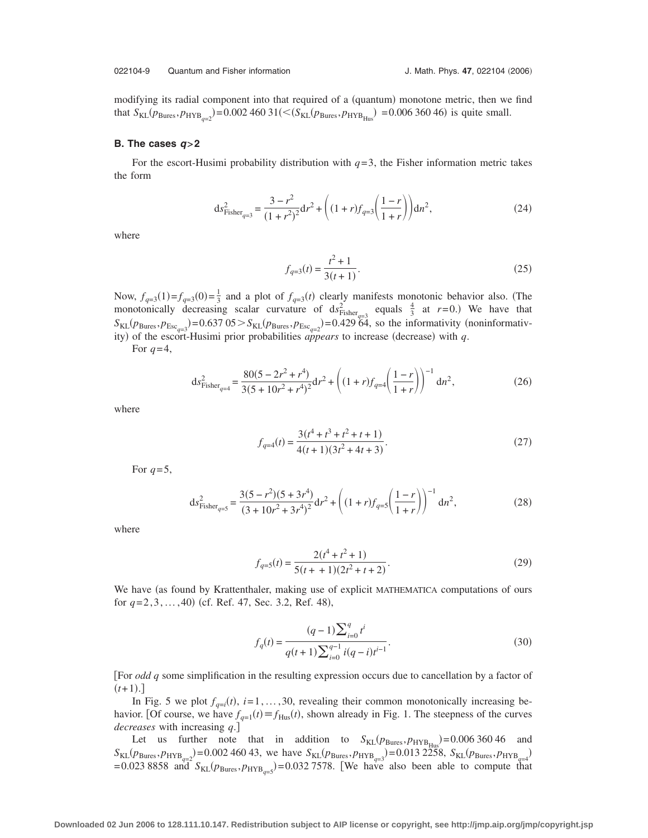modifying its radial component into that required of a (quantum) monotone metric, then we find that  $S_{KL}(p_{Bures}, p_{HYB_{q=2}}) = 0.002$  460 31( $\lt (S_{KL}(p_{Bures}, p_{HYB_{Hus}}) = 0.006$  360 46) is quite small.

#### **B. The cases** *q***>2**

For the escort-Husimi probability distribution with  $q=3$ , the Fisher information metric takes the form

$$
ds_{Fisher_{q=3}}^2 = \frac{3 - r^2}{(1 + r^2)^2} dr^2 + \left( (1 + r)f_{q=3}\left(\frac{1 - r}{1 + r}\right) \right) dr^2,
$$
\n(24)

where

$$
f_{q=3}(t) = \frac{t^2 + 1}{3(t+1)}.
$$
\n(25)

Now,  $f_{q=3}(1) = f_{q=3}(0) = \frac{1}{3}$  and a plot of  $f_{q=3}(t)$  clearly manifests monotonic behavior also. (The monotonically decreasing scalar curvature of  $ds^2_{Fisher_{q=3}}$  equals  $\frac{4}{3}$  at  $r=0$ .) We have that  $S_{KL}(p_{Bures}, p_{Esc_{q=3}}) = 0.637 \text{ } 0.5 > S_{KL}(p_{Bures}, p_{Esc_{q=2}}) = 0.429 \text{ } 64$ , so the informativity (noninformativity) of the escort-Husimi prior probabilities *appears* to increase (decrease) with  $q$ .

For  $q=4$ ,

$$
ds_{\text{Fisher}_{q=4}}^2 = \frac{80(5 - 2r^2 + r^4)}{3(5 + 10r^2 + r^4)^2} dr^2 + \left( (1 + r)f_{q=4} \left( \frac{1 - r}{1 + r} \right) \right)^{-1} dr^2,
$$
\n(26)

where

$$
f_{q=4}(t) = \frac{3(t^4 + t^3 + t^2 + t + 1)}{4(t+1)(3t^2 + 4t + 3)}.
$$
\n(27)

For  $q=5$ ,

$$
ds_{Fisher_{q=5}}^2 = \frac{3(5 - r^2)(5 + 3r^4)}{(3 + 10r^2 + 3r^4)^2} dr^2 + \left( (1 + r)f_{q=5} \left( \frac{1 - r}{1 + r} \right) \right)^{-1} dn^2,
$$
\n(28)

where

$$
f_{q=5}(t) = \frac{2(t^4 + t^2 + 1)}{5(t + 1)(2t^2 + t + 2)}.
$$
\n(29)

We have (as found by Krattenthaler, making use of explicit MATHEMATICA computations of ours for  $q=2,3,...,40$  (cf. Ref. 47, Sec. 3.2, Ref. 48),

$$
f_q(t) = \frac{(q-1)\sum_{i=0}^q t^i}{q(t+1)\sum_{i=0}^{q-1} i(q-i)t^{i-1}}.
$$
\n(30)

For *odd q* some simplification in the resulting expression occurs due to cancellation by a factor of  $(t+1).$ 

In Fig. 5 we plot  $f_{q=i}(t)$ ,  $i=1,\ldots,30$ , revealing their common monotonically increasing behavior. [Of course, we have  $f_{q=1}(t) \equiv f_{\text{Hus}}(t)$ , shown already in Fig. 1. The steepness of the curves *decreases* with increasing *q*.

Let us further note that in addition to  $S_{KL}(p_{Bures}, p_{HYB_{Hus}}) = 0.00636046$  and  $S_{\text{KL}}(p_{\text{Bures}}, p_{\text{HYB}_{q=2}}) = 0.002\,460\,43$ , we have  $S_{\text{KL}}(p_{\text{Bures}}, p_{\text{HYB}_{q=3}}) = 0.013\,2258$ ,  $S_{\text{KL}}(p_{\text{Bures}}, p_{\text{HYB}_{q=4}}) = 0.023\,8858$  and  $S_{\text{KL}}(p_{\text{Bures}}, p_{\text{HYB}_{q=5}}) = 0.032\,7578$ . [We have also been able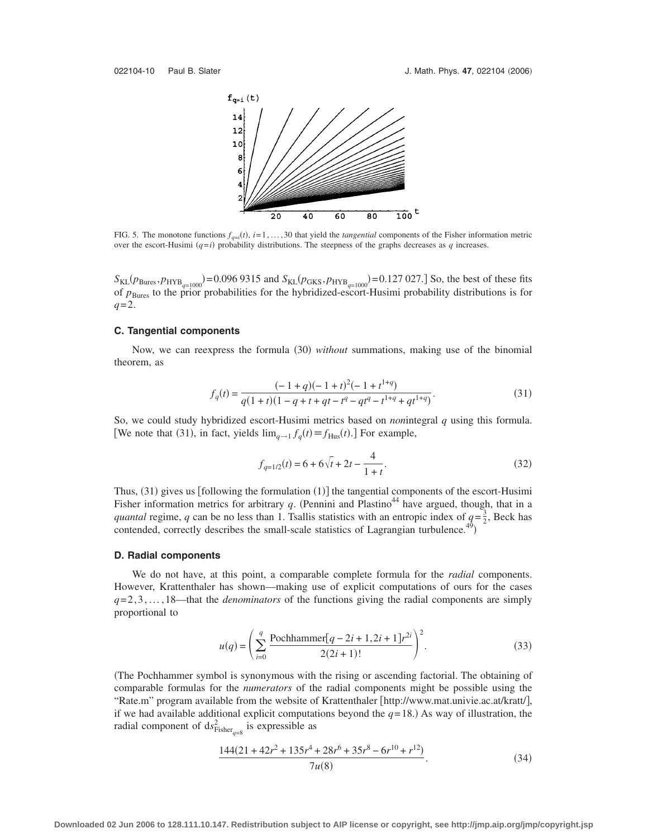

FIG. 5. The monotone functions  $f_{q=i}(t)$ ,  $i=1,\ldots,30$  that yield the *tangential* components of the Fisher information metric over the escort-Husimi  $(q=i)$  probability distributions. The steepness of the graphs decreases as  $q$  increases.

 $S_{KL}(p_{Bures}, p_{HYB_{q=1000}}) = 0.0969315$  and  $S_{KL}(p_{GKS}, p_{HYB_{q=1000}}) = 0.127027$ . So, the best of these fits of  $p_{\text{Bures}}$  to the prior probabilities for the hybridized-escort-Husimi probability distributions is for *q*=2.

# **C. Tangential components**

Now, we can reexpress the formula (30) without summations, making use of the binomial theorem, as

$$
f_q(t) = \frac{(-1+q)(-1+t)^2(-1+t^{1+q})}{q(1+t)(1-q+t+qt-t^q-qt^q-t^{1+q}+qt^{1+q})}.
$$
\n(31)

So, we could study hybridized escort-Husimi metrics based on *non*integral *q* using this formula. [We note that (31), in fact, yields  $\lim_{q \to 1} f_q(t) \equiv f_{\text{Hus}}(t)$ .] For example,

$$
f_{q=1/2}(t) = 6 + 6\sqrt{t} + 2t - \frac{4}{1+t}.
$$
\n(32)

Thus,  $(31)$  gives us [following the formulation  $(1)$ ] the tangential components of the escort-Husimi Fisher information metrics for arbitrary  $q$ . (Pennini and Plastino<sup>44</sup> have argued, though, that in a *quantal* regime, *q* can be no less than 1. Tsallis statistics with an entropic index of  $q = \frac{3}{2}$ , Beck has contended, correctly describes the small-scale statistics of Lagrangian turbulence.<sup>4</sup>

#### **D. Radial components**

We do not have, at this point, a comparable complete formula for the *radial* components. However, Krattenthaler has shown—making use of explicit computations of ours for the cases  $q=2,3,\ldots, 18$ —that the *denominators* of the functions giving the radial components are simply proportional to

$$
u(q) = \left(\sum_{i=0}^{q} \frac{\text{Pochhammer}[q-2i+1,2i+1]r^{2i}}{2(2i+1)!}\right)^2.
$$
 (33)

The Pochhammer symbol is synonymous with the rising or ascending factorial. The obtaining of comparable formulas for the *numerators* of the radial components might be possible using the "Rate.m" program available from the website of Krattenthaler [http://www.mat.univie.ac.at/kratt/], if we had available additional explicit computations beyond the  $q=18$ .) As way of illustration, the radial component of  $ds^2_{Fisher_{q=8}}$  is expressible as

$$
\frac{144(21+42r^2+135r^4+28r^6+35r^8-6r^{10}+r^{12})}{7u(8)}.
$$
\n(34)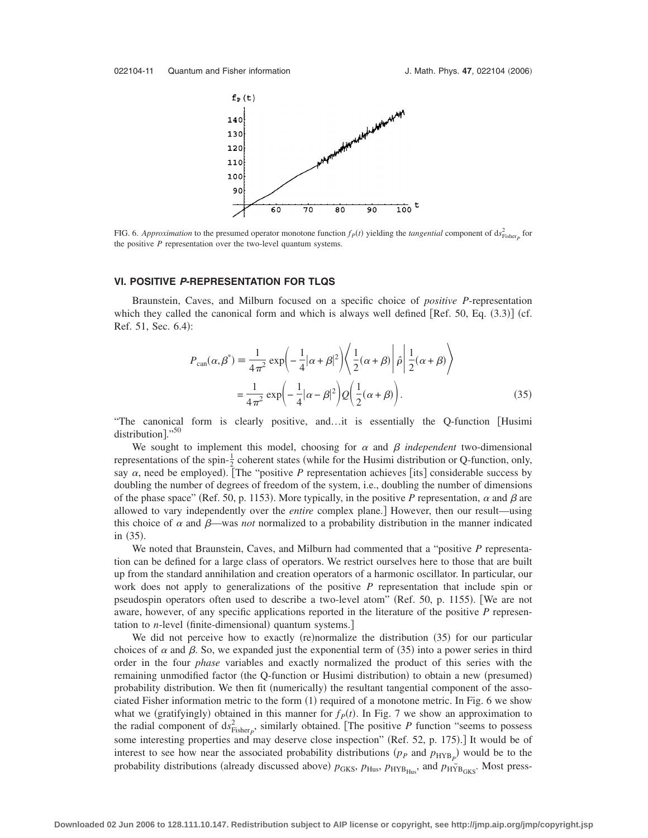

FIG. 6. *Approximation* to the presumed operator monotone function  $f_P(t)$  yielding the *tangential* component of  $ds_{Fisher}^2$  for the positive *P* representation over the two-level quantum systems.

#### **VI. POSITIVE** *P***-REPRESENTATION FOR TLQS**

Braunstein, Caves, and Milburn focused on a specific choice of *positive P*-representation which they called the canonical form and which is always well defined [Ref. 50, Eq.  $(3.3)$ ] (cf. Ref. 51, Sec. 6.4):

$$
P_{\text{can}}(\alpha, \beta^*) = \frac{1}{4\pi^2} \exp\left(-\frac{1}{4}|\alpha + \beta|^2\right) \left\langle \frac{1}{2}(\alpha + \beta)\right| \hat{\rho} \left|\frac{1}{2}(\alpha + \beta)\right\rangle
$$
  

$$
= \frac{1}{4\pi^2} \exp\left(-\frac{1}{4}|\alpha - \beta|^2\right) Q\left(\frac{1}{2}(\alpha + \beta)\right). \tag{35}
$$

"The canonical form is clearly positive, and...t is essentially the Q-function [Husimi] distribution]." $50$ 

We sought to implement this model, choosing for  $\alpha$  and  $\beta$  *independent* two-dimensional representations of the spin- $\frac{1}{2}$  coherent states (while for the Husimi distribution or Q-function, only, say  $\alpha$ , need be employed). [The "positive *P* representation achieves [its] considerable success by doubling the number of degrees of freedom of the system, i.e., doubling the number of dimensions of the phase space" (Ref. 50, p. 1153). More typically, in the positive P representation,  $\alpha$  and  $\beta$  are allowed to vary independently over the *entire* complex plane.] However, then our result—using this choice of  $\alpha$  and  $\beta$ —was *not* normalized to a probability distribution in the manner indicated in (35).

We noted that Braunstein, Caves, and Milburn had commented that a "positive *P* representation can be defined for a large class of operators. We restrict ourselves here to those that are built up from the standard annihilation and creation operators of a harmonic oscillator. In particular, our work does not apply to generalizations of the positive *P* representation that include spin or pseudospin operators often used to describe a two-level atom" (Ref. 50, p. 1155). [We are not aware, however, of any specific applications reported in the literature of the positive *P* representation to *n*-level (finite-dimensional) quantum systems.]

We did not perceive how to exactly (re)normalize the distribution (35) for our particular choices of  $\alpha$  and  $\beta$ . So, we expanded just the exponential term of (35) into a power series in third order in the four *phase* variables and exactly normalized the product of this series with the remaining unmodified factor (the Q-function or Husimi distribution) to obtain a new (presumed) probability distribution. We then fit (numerically) the resultant tangential component of the associated Fisher information metric to the form (1) required of a monotone metric. In Fig. 6 we show what we (gratifyingly) obtained in this manner for  $f<sub>P</sub>(t)$ . In Fig. 7 we show an approximation to the radial component of  $ds_{Fisher_P}^2$ , similarly obtained. [The positive *P* function "seems to possess some interesting properties and may deserve close inspection" (Ref. 52, p. 175).] It would be of interest to see how near the associated probability distributions  $(p_P \text{ and } p_{HYB_P})$  would be to the probability distributions (already discussed above)  $p_{GKS}$ ,  $p_{Hus}$ ,  $p_{HYB_{Hus}}$ , and  $p_{H\tilde{Y}B_{GKS}}$ . Most press-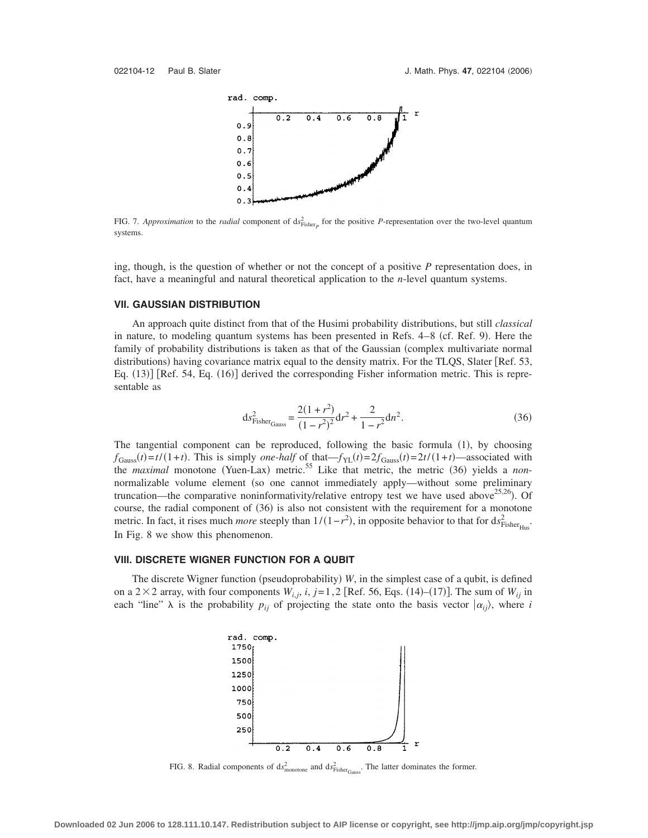

FIG. 7. *Approximation* to the *radial* component of  $ds_{Fisher_p}^2$  for the positive *P*-representation over the two-level quantum systems.

ing, though, is the question of whether or not the concept of a positive *P* representation does, in fact, have a meaningful and natural theoretical application to the *n*-level quantum systems.

#### **VII. GAUSSIAN DISTRIBUTION**

An approach quite distinct from that of the Husimi probability distributions, but still *classical* in nature, to modeling quantum systems has been presented in Refs. 4-8 (cf. Ref. 9). Here the family of probability distributions is taken as that of the Gaussian (complex multivariate normal distributions) having covariance matrix equal to the density matrix. For the TLQS, Slater [Ref. 53, Eq. (13)] [Ref. 54, Eq. (16)] derived the corresponding Fisher information metric. This is representable as

$$
ds_{\text{Fisher}_{\text{Gauss}}}^2 = \frac{2(1+r^2)}{(1-r^2)^2} dr^2 + \frac{2}{1-r^2} dn^2.
$$
 (36)

The tangential component can be reproduced, following the basic formula (1), by choosing  $f_{\text{Gauss}}(t) = t/(1+t)$ . This is simply *one-half* of that  $-f_{\text{YL}}(t) = 2f_{\text{Gauss}}(t) = 2t/(1+t)$ —associated with the *maximal* monotone (Yuen-Lax) metric.<sup>55</sup> Like that metric, the metric (36) yields a *non*normalizable volume element (so one cannot immediately apply—without some preliminary truncation—the comparative noninformativity/relative entropy test we have used above<sup>25,26</sup>). Of course, the radial component of (36) is also not consistent with the requirement for a monotone metric. In fact, it rises much *more* steeply than  $1/(1-r^2)$ , in opposite behavior to that for  $ds^2_{Fisher_{Hus}}$ . In Fig. 8 we show this phenomenon.

# **VIII. DISCRETE WIGNER FUNCTION FOR A QUBIT**

The discrete Wigner function (pseudoprobability) W, in the simplest case of a qubit, is defined on a  $2 \times 2$  array, with four components  $W_{i,j}$ ,  $i, j=1, 2$  [Ref. 56, Eqs. (14)–(17)]. The sum of  $W_{ij}$  in each "line"  $\lambda$  is the probability  $p_{ij}$  of projecting the state onto the basis vector  $|\alpha_{ij}\rangle$ , where *i* 



FIG. 8. Radial components of  $ds_{\text{monotone}}^2$  and  $ds_{\text{Fisher}_{\text{Gauss}}}^2$ . The latter dominates the former.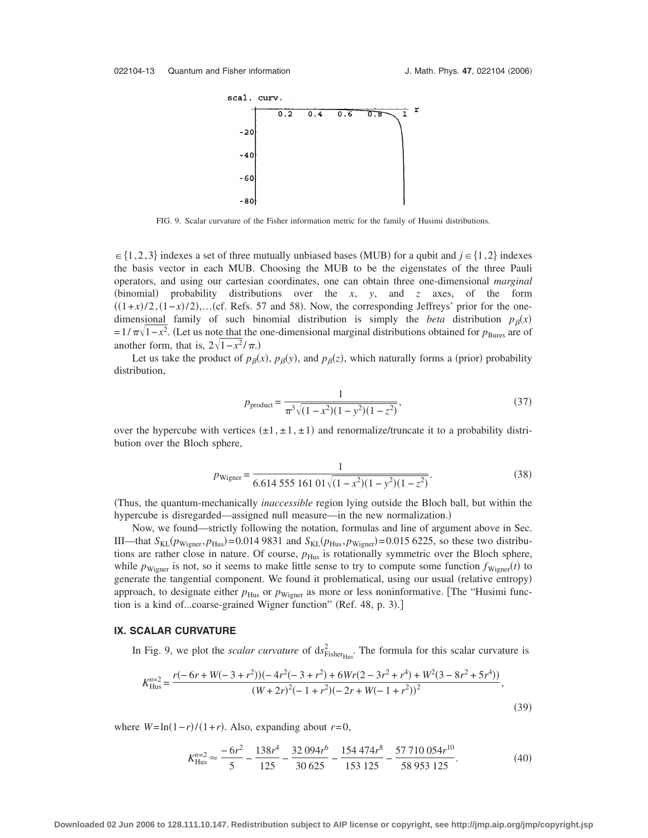

FIG. 9. Scalar curvature of the Fisher information metric for the family of Husimi distributions.

 $\in \{1,2,3\}$  indexes a set of three mutually unbiased bases (MUB) for a qubit and  $j \in \{1,2\}$  indexes the basis vector in each MUB. Choosing the MUB to be the eigenstates of the three Pauli operators, and using our cartesian coordinates, one can obtain three one-dimensional *marginal* (binomial) probability distributions over the  $x$ ,  $y$ , and  $z$  axes, of the form  $((1+x)/2, (1-x)/2)$ ,...(cf. Refs. 57 and 58). Now, the corresponding Jeffreys' prior for the onedimensional family of such binomial distribution is simply the *beta* distribution  $p_\beta(x)$  $=1/\pi\sqrt{1-x^2}$ . (Let us note that the one-dimensional marginal distributions obtained for *p*<sub>Bures</sub> are of another form, that is,  $2\sqrt{1-x^2}/\pi$ .)

Let us take the product of  $p_\beta(x)$ ,  $p_\beta(y)$ , and  $p_\beta(z)$ , which naturally forms a (prior) probability distribution,

$$
p_{\text{product}} = \frac{1}{\pi^3 \sqrt{(1 - x^2)(1 - y^2)(1 - z^2)}},\tag{37}
$$

over the hypercube with vertices  $(\pm 1, \pm 1, \pm 1)$  and renormalize/truncate it to a probability distribution over the Bloch sphere,

$$
p_{\text{Wigner}} = \frac{1}{6.614\,555\,161\,01\sqrt{(1-x^2)(1-y^2)(1-z^2)}}.\tag{38}
$$

Thus, the quantum-mechanically *inaccessible* region lying outside the Bloch ball, but within the hypercube is disregarded—assigned null measure—in the new normalization.)

Now, we found—strictly following the notation, formulas and line of argument above in Sec. III—that  $S_{KL}(p_{Wigner}, p_{Hus}) = 0.0149831$  and  $S_{KL}(p_{Hus}, p_{Wigner}) = 0.0156225$ , so these two distributions are rather close in nature. Of course,  $p_{\text{Hus}}$  is rotationally symmetric over the Bloch sphere, while  $p_{Wigner}$  is not, so it seems to make little sense to try to compute some function  $f_{Wigner}(t)$  to generate the tangential component. We found it problematical, using our usual (relative entropy) approach, to designate either  $p_{\text{Hus}}$  or  $p_{\text{Wigner}}$  as more or less noninformative. [The "Husimi function is a kind of...coarse-grained Wigner function" (Ref. 48, p. 3).]

### **IX. SCALAR CURVATURE**

In Fig. 9, we plot the *scalar curvature* of  $ds^2_{Fisher_{Hus}}$ . The formula for this scalar curvature is

$$
K_{\text{Hus}}^{n=2} = \frac{r(-6r + W(-3 + r^2))(-4r^2(-3 + r^2) + 6Wr(2 - 3r^2 + r^4) + W^2(3 - 8r^2 + 5r^4))}{(W + 2r)^2(-1 + r^2)(-2r + W(-1 + r^2))^2},
$$
\n(39)

where  $W = \ln(1 - r)/(1 + r)$ . Also, expanding about  $r = 0$ ,

$$
K_{\text{Hus}}^{n=2} \approx \frac{-6r^2}{5} - \frac{138r^4}{125} - \frac{32094r^6}{30625} - \frac{154474r^8}{153125} - \frac{57710054r^{10}}{58953125}.
$$
(40)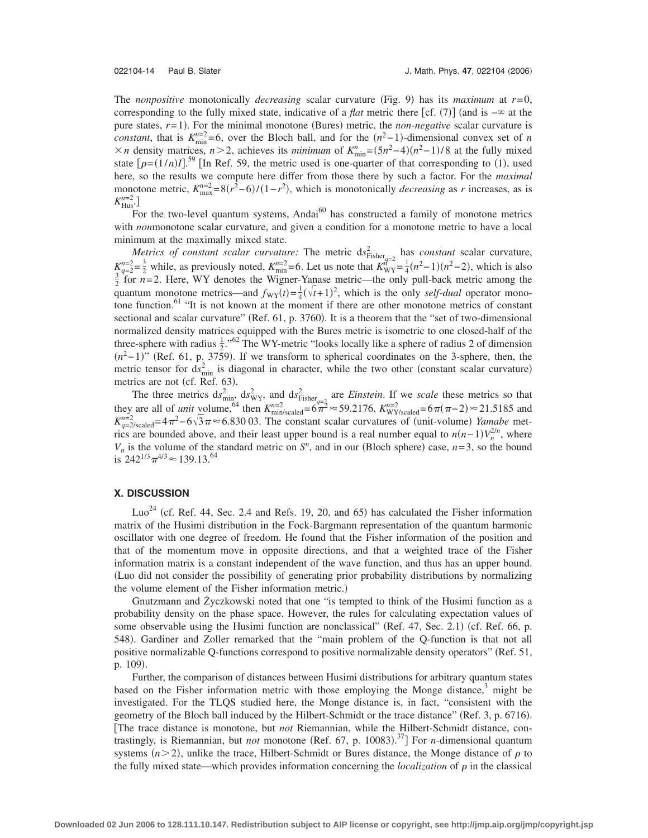The *nonpositive* monotonically *decreasing* scalar curvature (Fig. 9) has its *maximum* at  $r=0$ , corresponding to the fully mixed state, indicative of a *flat* metric there [cf. (7)] (and is –∞ at the pure states,  $r=1$ ). For the minimal monotone (Bures) metric, the *non-negative* scalar curvature is *constant*, that is  $K_{\min}^{n=2} = 6$ , over the Bloch ball, and for the  $(n^2-1)$ -dimensional convex set of *n*  $× n$  density matrices, *n* > 2, achieves its *minimum* of  $K_{\min}^n = (5n^2-4)(n^2-1)/8$  at the fully mixed state  $[\rho=(1/n)I]$ <sup>59</sup> [In Ref. 59, the metric used is one-quarter of that corresponding to (1), used here, so the results we compute here differ from those there by such a factor. For the *maximal* monotone metric,  $K_{\text{max}}^{n=2} = 8(r^2-6)/(1-r^2)$ , which is monotonically *decreasing* as *r* increases, as is  $K^{n=2}_{\text{Hus}}$ .

For the two-level quantum systems, Andai $^{60}$  has constructed a family of monotone metrics with *non*monotone scalar curvature, and given a condition for a monotone metric to have a local minimum at the maximally mixed state.

*Metrics of constant scalar curvature:* The metric  $ds_{Fisher_{q=2}}^2$  has *constant* scalar curvature,  $K_{\text{q-2}}^{n=2} = \frac{3}{2}$  while, as previously noted,  $K_{\text{min}}^{n=2} = 6$ . Let us note that  $K_{\text{WY}}^{n^2} = \frac{1}{4}(n^2-1)(n^2-2)$ , which is also  $\frac{3}{2}$  for  $n=2$ . Here, WY denotes the Wigner-Yangse metric—the only pull-back quantum monotone metrics—and  $f_{\text{WY}}(t) = \frac{1}{4}(\sqrt{t+1})^2$ , which is the only *self-dual* operator monotone function.<sup>61</sup> "It is not known at the moment if there are other monotone metrics of constant sectional and scalar curvature" (Ref. 61, p. 3760). It is a theorem that the "set of two-dimensional normalized density matrices equipped with the Bures metric is isometric to one closed-half of the three-sphere with radius  $\frac{1}{2}$ ."<sup>62</sup> The WY-metric "looks locally like a sphere of radius 2 of dimension  $(n^2-1)$ " (Ref. 61, p. 3759). If we transform to spherical coordinates on the 3-sphere, then, the metric tensor for  $ds_{\text{min}}^2$  is diagonal in character, while the two other (constant scalar curvature) metrics are not (cf. Ref. 63).

The three metrics  $ds_{\text{min}}^2$ ,  $ds_{\text{WY}}^2$ , and  $ds_{\text{Fisher}}^2$  are *Einstein*. If we *scale* these metrics so that they are all of *unit* volume, <sup>64</sup> then  $K_{\text{min/scaled}}^{n=2} = 6\pi \approx 59.2176$ ,  $K_{\text{WY/scaled}}^{n=2} = 6\pi (\pi - 2) \approx 21.5185$  and  $K_{q=2/\text{scaled}}^{n=2} = 4\pi^2 - 6\sqrt{3}\pi \approx 6.830\,03$ . The constant scalar curvatures of (unit-volume) *Yamabe* metrics are bounded above, and their least upper bound is a real number equal to  $n(n-1)V_n^{2/n}$ , where  $V_n$  is the volume of the standard metric on  $S^n$ , and in our (Bloch sphere) case,  $n=3$ , so the bound is  $242^{1/3}\pi^{4/3} \approx 139.13^{64}$ 

# **X. DISCUSSION**

Luo<sup>24</sup> (cf. Ref. 44, Sec. 2.4 and Refs. 19, 20, and 65) has calculated the Fisher information matrix of the Husimi distribution in the Fock-Bargmann representation of the quantum harmonic oscillator with one degree of freedom. He found that the Fisher information of the position and that of the momentum move in opposite directions, and that a weighted trace of the Fisher information matrix is a constant independent of the wave function, and thus has an upper bound. Luo did not consider the possibility of generating prior probability distributions by normalizing the volume element of the Fisher information metric.)

Gnutzmann and Życzkowski noted that one "is tempted to think of the Husimi function as a probability density on the phase space. However, the rules for calculating expectation values of some observable using the Husimi function are nonclassical" (Ref. 47, Sec. 2.1) (cf. Ref. 66, p. 548). Gardiner and Zoller remarked that the "main problem of the Q-function is that not all positive normalizable Q-functions correspond to positive normalizable density operators" Ref. 51, p. 109).

Further, the comparison of distances between Husimi distributions for arbitrary quantum states based on the Fisher information metric with those employing the Monge distance, $\delta$  might be investigated. For the TLQS studied here, the Monge distance is, in fact, "consistent with the geometry of the Bloch ball induced by the Hilbert-Schmidt or the trace distance" (Ref. 3, p. 6716). The trace distance is monotone, but *not* Riemannian, while the Hilbert-Schmidt distance, contrastingly, is Riemannian, but *not* monotone (Ref. 67, p. 10083).<sup>37</sup>] For *n*-dimensional quantum systems  $(n>2)$ , unlike the trace, Hilbert-Schmidt or Bures distance, the Monge distance of  $\rho$  to the fully mixed state—which provides information concerning the *localization* of  $\rho$  in the classical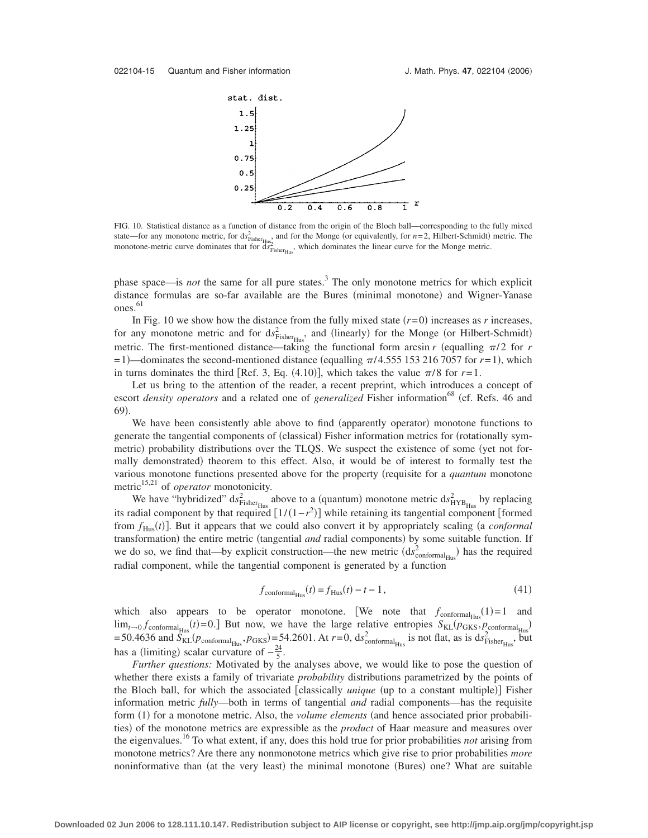

FIG. 10. Statistical distance as a function of distance from the origin of the Bloch ball—corresponding to the fully mixed state—for any monotone metric, for  $ds_{Fisher_{Hus}}^2$  and for the Monge (or equivalently, for  $n=2$ , Hilbert-Schmidt) metric. The monotone-metric curve dominates that for  $\frac{dS_{\text{Fisher}}}{dS_{\text{Fisher}}}=$  which dominates the linear curve for the Monge metric.

phase space—is *not* the same for all pure states.3 The only monotone metrics for which explicit distance formulas are so-far available are the Bures (minimal monotone) and Wigner-Yanase ones. 61

In Fig. 10 we show how the distance from the fully mixed state  $(r=0)$  increases as *r* increases, for any monotone metric and for  $ds_{Fisher_{Hus}}^2$ , and (linearly) for the Monge (or Hilbert-Schmidt) metric. The first-mentioned distance—taking the functional form arcsin  $r$  (equalling  $\pi/2$  for  $r$  $= 1$ )—dominates the second-mentioned distance (equalling  $\pi/4.555$  153 216 7057 for  $r = 1$ ), which in turns dominates the third [Ref. 3, Eq.  $(4.10)$ ], which takes the value  $\pi/8$  for  $r=1$ .

Let us bring to the attention of the reader, a recent preprint, which introduces a concept of escort *density operators* and a related one of *generalized* Fisher information<sup>68</sup> (cf. Refs. 46 and 69).

We have been consistently able above to find (apparently operator) monotone functions to generate the tangential components of (classical) Fisher information metrics for (rotationally symmetric) probability distributions over the TLQS. We suspect the existence of some (yet not formally demonstrated) theorem to this effect. Also, it would be of interest to formally test the various monotone functions presented above for the property (requisite for a *quantum* monotone metric<sup>15,21</sup> of *operator* monotonicity.

We have "hybridized"  $ds_{Fisher_{Hus}}^2$  above to a (quantum) monotone metric  $ds_{HYB_{Hus}}^2$  by replacing its radial component by that required  $[1/(1-r^2)]$  while retaining its tangential component [formed] from  $f_{Hus}(t)$ ]. But it appears that we could also convert it by appropriately scaling (a *conformal* transformation) the entire metric (tangential *and* radial components) by some suitable function. If we do so, we find that—by explicit construction—the new metric  $(ds_{\text{conformal}_{\text{Hus}}^2})$  has the required radial component, while the tangential component is generated by a function

$$
f_{\text{conformal}_{\text{Hus}}}(t) = f_{\text{Hus}}(t) - t - 1,\tag{41}
$$

which also appears to be operator monotone. [We note that  $f_{\text{conformal}_{Hus}}(1)=1$  and  $\lim_{t\to 0} f_{\text{conformal}_{Hus}}(t) = 0.$  But now, we have the large relative entropies  $S_{KL}(p_{GKS}, p_{\text{conformal}_{Hus}})$ <br>= 50.4636 and  $S_{KL}(p_{\text{conformal}_{Hus}}, p_{GKS}) = 54.2601$ . At  $r = 0$ ,  $ds_{\text{conformal}_{Hus}}^2$  is not flat, as is  $ds_{Fisher_{Hus}}^2$ , but has a (limiting) scalar curvature of  $-\frac{24}{5}$ .

*Further questions:* Motivated by the analyses above, we would like to pose the question of whether there exists a family of trivariate *probability* distributions parametrized by the points of the Bloch ball, for which the associated [classically *unique* (up to a constant multiple)] Fisher information metric *fully*—both in terms of tangential *and* radial components—has the requisite form (1) for a monotone metric. Also, the *volume elements* (and hence associated prior probabilities) of the monotone metrics are expressible as the *product* of Haar measure and measures over the eigenvalues.16 To what extent, if any, does this hold true for prior probabilities *not* arising from monotone metrics? Are there any nonmonotone metrics which give rise to prior probabilities *more* noninformative than (at the very least) the minimal monotone (Bures) one? What are suitable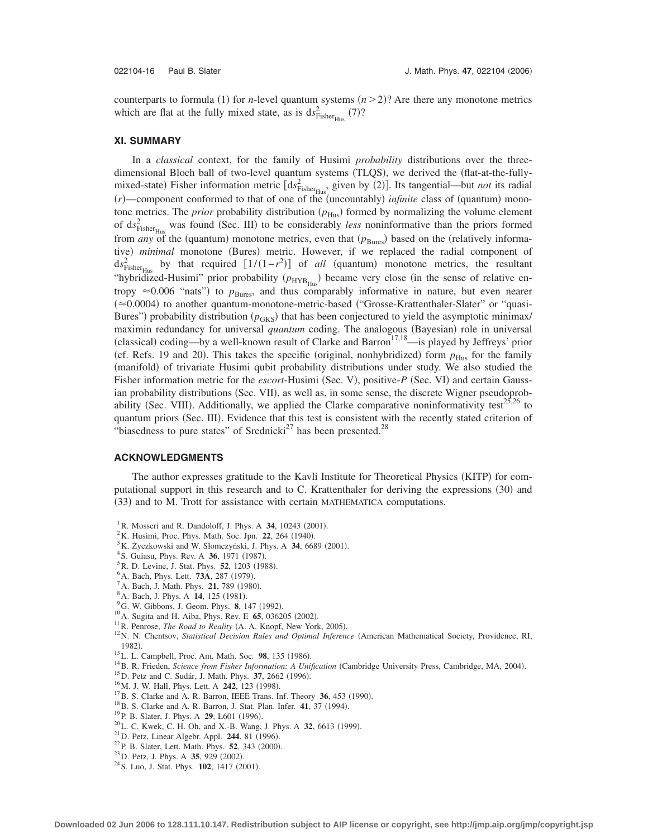counterparts to formula (1) for *n*-level quantum systems  $(n>2)$ ? Are there any monotone metrics which are flat at the fully mixed state, as is  $ds_{Fisher_{Hus}}^2$  (7)?

#### **XI. SUMMARY**

In a *classical* context, for the family of Husimi *probability* distributions over the threedimensional Bloch ball of two-level quantum systems (TLQS), we derived the (flat-at-the-fullymixed-state) Fisher information metric  $\left[ds_{Fisher_{Hus}}^2\right]$  given by (2). Its tangential—but *not* its radial  $(r)$ —component conformed to that of one of the (uncountably) *infinite* class of (quantum) monotone metrics. The *prior* probability distribution ( $p_{\text{Hus}}$ ) formed by normalizing the volume element of  $ds^2_{Fisher_{Hus}}$  was found (Sec. III) to be considerably *less* noninformative than the priors formed from *any* of the (quantum) monotone metrics, even that  $(p_{Bures})$  based on the (relatively informative) minimal monotone (Bures) metric. However, if we replaced the radial component of  $ds_{\text{Fisher}_{\text{Hus}}}^2$  by that required  $[1/(1-r^2)]$  of *all* (quantum) monotone metrics, the resultant "hybridized-Husimi" prior probability ( $p_{HYB_{Hus}}$ ) became very close (in the sense of relative entropy  $\approx 0.006$  "nats") to  $p_{\text{Bures}}$ , and thus comparably informative in nature, but even nearer (≈0.0004) to another quantum-monotone-metric-based ("Grosse-Krattenthaler-Slater" or "quasi-Bures") probability distribution ( $p_{GKS}$ ) that has been conjectured to yield the asymptotic minimax/ maximin redundancy for universal *quantum* coding. The analogous (Bayesian) role in universal (classical) coding—by a well-known result of Clarke and Barron<sup>17,18</sup>—is played by Jeffreys' prior (cf. Refs. 19 and 20). This takes the specific (original, nonhybridized) form  $p_{\text{Hus}}$  for the family (manifold) of trivariate Husimi qubit probability distributions under study. We also studied the Fisher information metric for the *escort*-Husimi (Sec. V), positive-P (Sec. VI) and certain Gaussian probability distributions (Sec. VII), as well as, in some sense, the discrete Wigner pseudoprobability (Sec. VIII). Additionally, we applied the Clarke comparative noninformativity test<sup>25,26</sup> to quantum priors (Sec. III). Evidence that this test is consistent with the recently stated criterion of "biasedness to pure states" of Srednicki $^{27}$  has been presented. $^{28}$ 

#### **ACKNOWLEDGMENTS**

The author expresses gratitude to the Kavli Institute for Theoretical Physics (KITP) for computational support in this research and to C. Krattenthaler for deriving the expressions (30) and (33) and to M. Trott for assistance with certain MATHEMATICA computations.

- <sup>3</sup>K. Życzkowski and W. Słomczyński, J. Phys. A **34**, 6689 (2001).
- <sup>4</sup> S. Guiasu, Phys. Rev. A **36**, 1971 (1987).
- <sup>5</sup> R. D. Levine, J. Stat. Phys. **52**, 1203 (1988).
- <sup>6</sup> A. Bach, Phys. Lett. **73A**, 287 (1979).
- <sup>'</sup> A. Bach, J. Math. Phys. **21**, 789 (1980).
- <sup>8</sup> A. Bach, J. Phys. A **14**, 125 (1981).
- <sup>9</sup>G. W. Gibbons, J. Geom. Phys. **8**, 147 (1992).
- <sup>10</sup> A. Sugita and H. Aiba, Phys. Rev. E **65**, 036205 (2002).
- <sup>11</sup>R. Penrose, *The Road to Reality* (A. A. Knopf, New York, 2005).
- <sup>12</sup>N. N. Chentsov, *Statistical Decision Rules and Optimal Inference* (American Mathematical Society, Providence, RI, 1982).
- <sup>13</sup>L. L. Campbell, Proc. Am. Math. Soc. **98**, 135 (1986).
- <sup>13</sup>L. L. Campbell, Proc. Am. Math. Soc. 98, 135 (1986).<br><sup>14</sup>B. R. Frieden, *Science from Fisher Information: A Unification* (Cambridge University Press, Cambridge, MA, 2004) <sup>14</sup> B. R. Frieden, *Science from Fisher Information: A Unification* (Cambridge University Press, Cambridge, MA, 2004).<br><sup>15</sup> D. Petz and C. Sudár, J. Math. Phys. **37**, 2662 (1996).
- <sup>15</sup> D. Petz and C. Sudár, J. Math. Phys. **37**, 2662 (1996). <sup>16</sup> M. J. W. Hall, Phys. Lett. A **242**, 123 (1998).
- 
- <sup>17</sup>B. S. Clarke and A. R. Barron, IEEE Trans. Inf. Theory **36**, 453 (1990).  $^{17}$ B. S. Clarke and A. R. Barron, IEEE Trans. Inf. Theory **36**, 453 (1990). <sup>18</sup>B. S. Clarke and A. R. Barron, J. Stat. Plan. Infer. **41**, 37 (1994).
- <sup>18</sup> B. S. Clarke and A. R. Barron, J. Stat. Plan. Infer. **41**, 37 (1994).<br><sup>19</sup> P. B. Slater, J. Phys. A **29**, L601 (1996).
- 
- <sup>19</sup> P. B. Slater, J. Phys. A **29**, L601 (1996).<br><sup>20</sup> L. C. Kwek, C. H. Oh, and X.-B. Wang, J. Phys. A **32**, 6613 (1999) <sup>20</sup> L. C. Kwek, C. H. Oh, and X.-B. Wang, J. Phys. A **32**, 6613 (1999). <sup>21</sup> D. Petz, Linear Algebr. Appl. **244**, 81 (1996).
- <sup>21</sup> D. Petz, Linear Algebr. Appl. **244**, 81 (1996).<br><sup>22</sup> P. B. Slater, Lett. Math. Phys. **52**, 343 (2000)
- <sup>22</sup> P. B. Slater, Lett. Math. Phys. **52**, 343 (2000).<br><sup>23</sup> D. Petz, J. Phys. A **35**, 929 (2002).
- 
- <sup>23</sup> D. Petz, J. Phys. A **35**, 929 (2002).<br><sup>24</sup> S. Luo, J. Stat. Phys. **102**, 1417 (2001).

<sup>&</sup>lt;sup>1</sup> R. Mosseri and R. Dandoloff, J. Phys. A **34**, 10243 (2001).

<sup>&</sup>lt;sup>2</sup>K. Husimi, Proc. Phys. Math. Soc. Jpn. **22**, 264 (1940).